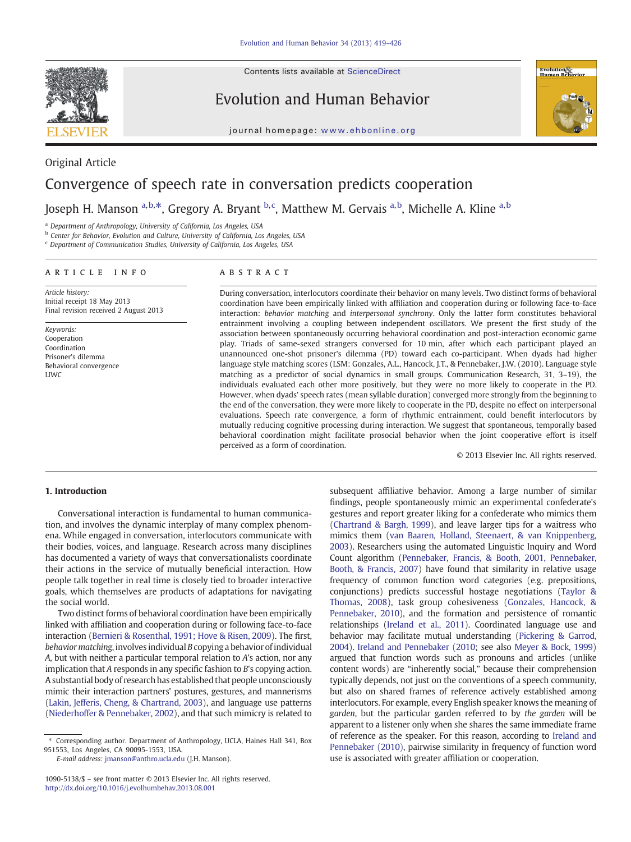Contents lists available at ScienceDirect



Original Article

Evolution and Human Behavior



journal homepage: [www.ehbonline.org](http://www.ehbonline.org)

# Convergence of speech rate in conversation predicts cooperation

Joseph H. Manson <sup>a,b,\*</sup>, Gregory A. Bryant <sup>b,c</sup>, Matthew M. Gervais <sup>a,b</sup>, Michelle A. Kline <sup>a,b</sup>

<sup>a</sup> Department of Anthropology, University of California, Los Angeles, USA

b Center for Behavior, Evolution and Culture, University of California, Los Angeles, USA

<sup>c</sup> Department of Communication Studies, University of California, Los Angeles, USA

## article info abstract

Article history: Initial receipt 18 May 2013 Final revision received 2 August 2013

Keywords: Cooperation Coordination Prisoner's dilemma Behavioral convergence LIWC

During conversation, interlocutors coordinate their behavior on many levels. Two distinct forms of behavioral coordination have been empirically linked with affiliation and cooperation during or following face-to-face interaction: behavior matching and interpersonal synchrony. Only the latter form constitutes behavioral entrainment involving a coupling between independent oscillators. We present the first study of the association between spontaneously occurring behavioral coordination and post-interaction economic game play. Triads of same-sexed strangers conversed for 10 min, after which each participant played an unannounced one-shot prisoner's dilemma (PD) toward each co-participant. When dyads had higher language style matching scores (LSM: Gonzales, A.L., Hancock, J.T., & Pennebaker, J.W. (2010). Language style matching as a predictor of social dynamics in small groups. Communication Research, 31, 3–19), the individuals evaluated each other more positively, but they were no more likely to cooperate in the PD. However, when dyads' speech rates (mean syllable duration) converged more strongly from the beginning to the end of the conversation, they were more likely to cooperate in the PD, despite no effect on interpersonal evaluations. Speech rate convergence, a form of rhythmic entrainment, could benefit interlocutors by mutually reducing cognitive processing during interaction. We suggest that spontaneous, temporally based behavioral coordination might facilitate prosocial behavior when the joint cooperative effort is itself perceived as a form of coordination.

© 2013 Elsevier Inc. All rights reserved.

# 1. Introduction

Conversational interaction is fundamental to human communication, and involves the dynamic interplay of many complex phenomena. While engaged in conversation, interlocutors communicate with their bodies, voices, and language. Research across many disciplines has documented a variety of ways that conversationalists coordinate their actions in the service of mutually beneficial interaction. How people talk together in real time is closely tied to broader interactive goals, which themselves are products of adaptations for navigating the social world.

Two distinct forms of behavioral coordination have been empirically linked with affiliation and cooperation during or following face-to-face interaction ([Bernieri & Rosenthal, 1991; Hove & Risen, 2009](#page-6-0)). The first, behavior matching, involves individual B copying a behavior of individual A, but with neither a particular temporal relation to A's action, nor any implication that A responds in any specific fashion to B's copying action. A substantial body of research has established that people unconsciously mimic their interaction partners' postures, gestures, and mannerisms [\(Lakin, Jefferis, Cheng, & Chartrand, 2003\)](#page-6-0), and language use patterns [\(Niederhoffer & Pennebaker, 2002\)](#page-6-0), and that such mimicry is related to

E-mail address: [jmanson@anthro.ucla.edu](mailto:jmanson@anthro.ucla.edu) (J.H. Manson).

subsequent affiliative behavior. Among a large number of similar findings, people spontaneously mimic an experimental confederate's gestures and report greater liking for a confederate who mimics them [\(Chartrand & Bargh, 1999](#page-6-0)), and leave larger tips for a waitress who mimics them ([van Baaren, Holland, Steenaert, & van Knippenberg,](#page-7-0) [2003](#page-7-0)). Researchers using the automated Linguistic Inquiry and Word Count algorithm ([Pennebaker, Francis, & Booth, 2001, Pennebaker,](#page-6-0) [Booth, & Francis, 2007\)](#page-6-0) have found that similarity in relative usage frequency of common function word categories (e.g. prepositions, conjunctions) predicts successful hostage negotiations [\(Taylor &](#page-7-0) [Thomas, 2008\)](#page-7-0), task group cohesiveness ([Gonzales, Hancock, &](#page-6-0) [Pennebaker, 2010\)](#page-6-0), and the formation and persistence of romantic relationships [\(Ireland et al., 2011](#page-6-0)). Coordinated language use and behavior may facilitate mutual understanding ([Pickering & Garrod,](#page-6-0) [2004](#page-6-0)). [Ireland and Pennebaker \(2010](#page-6-0); see also [Meyer & Bock, 1999](#page-6-0)) argued that function words such as pronouns and articles (unlike content words) are "inherently social," because their comprehension typically depends, not just on the conventions of a speech community, but also on shared frames of reference actively established among interlocutors. For example, every English speaker knows the meaning of garden, but the particular garden referred to by the garden will be apparent to a listener only when she shares the same immediate frame of reference as the speaker. For this reason, according to [Ireland and](#page-6-0) [Pennebaker \(2010\),](#page-6-0) pairwise similarity in frequency of function word use is associated with greater affiliation or cooperation.

<sup>⁎</sup> Corresponding author. Department of Anthropology, UCLA, Haines Hall 341, Box 951553, Los Angeles, CA 90095-1553, USA.

<sup>1090-5138/\$</sup> – see front matter © 2013 Elsevier Inc. All rights reserved. <http://dx.doi.org/10.1016/j.evolhumbehav.2013.08.001>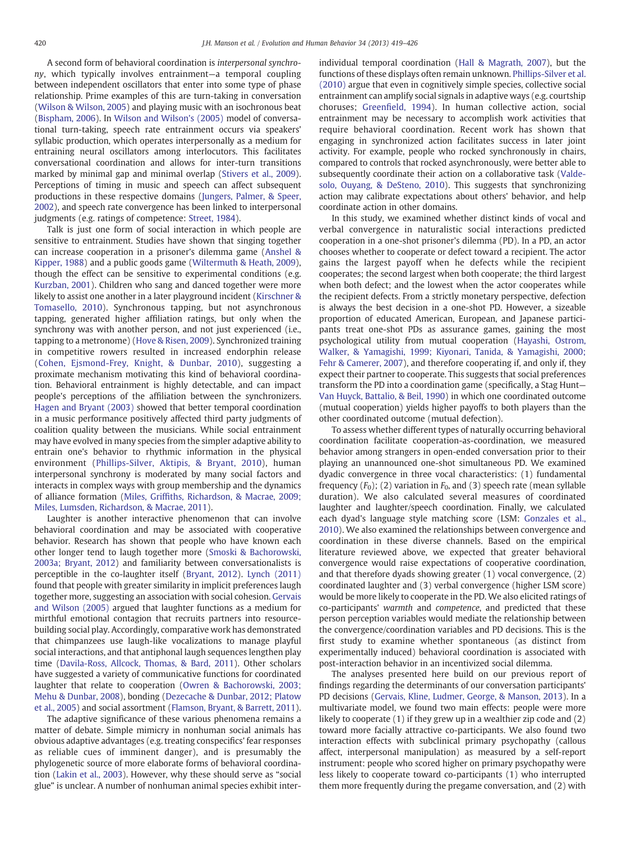A second form of behavioral coordination is interpersonal synchrony, which typically involves entrainment—a temporal coupling between independent oscillators that enter into some type of phase relationship. Prime examples of this are turn-taking in conversation ([Wilson & Wilson, 2005\)](#page-7-0) and playing music with an isochronous beat ([Bispham, 2006\)](#page-6-0). In [Wilson and Wilson's \(2005\)](#page-7-0) model of conversational turn-taking, speech rate entrainment occurs via speakers' syllabic production, which operates interpersonally as a medium for entraining neural oscillators among interlocutors. This facilitates conversational coordination and allows for inter-turn transitions marked by minimal gap and minimal overlap [\(Stivers et al., 2009](#page-7-0)). Perceptions of timing in music and speech can affect subsequent productions in these respective domains [\(Jungers, Palmer, & Speer,](#page-6-0) [2002\)](#page-6-0), and speech rate convergence has been linked to interpersonal judgments (e.g. ratings of competence: [Street, 1984\)](#page-7-0).

Talk is just one form of social interaction in which people are sensitive to entrainment. Studies have shown that singing together can increase cooperation in a prisoner's dilemma game ([Anshel &](#page-6-0) [Kipper, 1988](#page-6-0)) and a public goods game [\(Wiltermuth & Heath, 2009](#page-7-0)), though the effect can be sensitive to experimental conditions (e.g. [Kurzban, 2001](#page-6-0)). Children who sang and danced together were more likely to assist one another in a later playground incident [\(Kirschner &](#page-6-0) [Tomasello, 2010](#page-6-0)). Synchronous tapping, but not asynchronous tapping, generated higher affiliation ratings, but only when the synchrony was with another person, and not just experienced (i.e., tapping to a metronome) [\(Hove & Risen, 2009\)](#page-6-0). Synchronized training in competitive rowers resulted in increased endorphin release ([Cohen, Ejsmond-Frey, Knight, & Dunbar, 2010](#page-6-0)), suggesting a proximate mechanism motivating this kind of behavioral coordination. Behavioral entrainment is highly detectable, and can impact people's perceptions of the affiliation between the synchronizers. [Hagen and Bryant \(2003\)](#page-6-0) showed that better temporal coordination in a music performance positively affected third party judgments of coalition quality between the musicians. While social entrainment may have evolved in many species from the simpler adaptive ability to entrain one's behavior to rhythmic information in the physical environment [\(Phillips-Silver, Aktipis, & Bryant, 2010](#page-6-0)), human interpersonal synchrony is moderated by many social factors and interacts in complex ways with group membership and the dynamics of alliance formation (Miles, Griffi[ths, Richardson, & Macrae, 2009;](#page-6-0) [Miles, Lumsden, Richardson, & Macrae, 2011](#page-6-0)).

Laughter is another interactive phenomenon that can involve behavioral coordination and may be associated with cooperative behavior. Research has shown that people who have known each other longer tend to laugh together more ([Smoski & Bachorowski,](#page-7-0) [2003a; Bryant, 2012\)](#page-7-0) and familiarity between conversationalists is perceptible in the co-laughter itself [\(Bryant, 2012](#page-6-0)). [Lynch \(2011\)](#page-6-0) found that people with greater similarity in implicit preferences laugh together more, suggesting an association with social cohesion. [Gervais](#page-6-0) [and Wilson \(2005\)](#page-6-0) argued that laughter functions as a medium for mirthful emotional contagion that recruits partners into resourcebuilding social play. Accordingly, comparative work has demonstrated that chimpanzees use laugh-like vocalizations to manage playful social interactions, and that antiphonal laugh sequences lengthen play time [\(Davila-Ross, Allcock, Thomas, & Bard, 2011](#page-6-0)). Other scholars have suggested a variety of communicative functions for coordinated laughter that relate to cooperation [\(Owren & Bachorowski, 2003;](#page-6-0) [Mehu & Dunbar, 2008\)](#page-6-0), bonding [\(Dezecache & Dunbar, 2012; Platow](#page-6-0) [et al., 2005\)](#page-6-0) and social assortment [\(Flamson, Bryant, & Barrett, 2011](#page-6-0)).

The adaptive significance of these various phenomena remains a matter of debate. Simple mimicry in nonhuman social animals has obvious adaptive advantages (e.g. treating conspecifics' fear responses as reliable cues of imminent danger), and is presumably the phylogenetic source of more elaborate forms of behavioral coordination ([Lakin et al., 2003](#page-6-0)). However, why these should serve as "social glue" is unclear. A number of nonhuman animal species exhibit interindividual temporal coordination ([Hall & Magrath, 2007](#page-6-0)), but the functions of these displays often remain unknown. [Phillips-Silver et al.](#page-6-0) [\(2010\)](#page-6-0) argue that even in cognitively simple species, collective social entrainment can amplify social signals in adaptive ways (e.g. courtship choruses; Greenfi[eld, 1994\)](#page-6-0). In human collective action, social entrainment may be necessary to accomplish work activities that require behavioral coordination. Recent work has shown that engaging in synchronized action facilitates success in later joint activity. For example, people who rocked synchronously in chairs, compared to controls that rocked asynchronously, were better able to subsequently coordinate their action on a collaborative task ([Valde](#page-7-0)[solo, Ouyang, & DeSteno, 2010](#page-7-0)). This suggests that synchronizing action may calibrate expectations about others' behavior, and help coordinate action in other domains.

In this study, we examined whether distinct kinds of vocal and verbal convergence in naturalistic social interactions predicted cooperation in a one-shot prisoner's dilemma (PD). In a PD, an actor chooses whether to cooperate or defect toward a recipient. The actor gains the largest payoff when he defects while the recipient cooperates; the second largest when both cooperate; the third largest when both defect; and the lowest when the actor cooperates while the recipient defects. From a strictly monetary perspective, defection is always the best decision in a one-shot PD. However, a sizeable proportion of educated American, European, and Japanese participants treat one-shot PDs as assurance games, gaining the most psychological utility from mutual cooperation ([Hayashi, Ostrom,](#page-6-0) [Walker, & Yamagishi, 1999; Kiyonari, Tanida, & Yamagishi, 2000;](#page-6-0) [Fehr & Camerer, 2007](#page-6-0)), and therefore cooperating if, and only if, they expect their partner to cooperate. This suggests that social preferences transform the PD into a coordination game (specifically, a Stag Hunt— [Van Huyck, Battalio, & Beil, 1990\)](#page-7-0) in which one coordinated outcome (mutual cooperation) yields higher payoffs to both players than the other coordinated outcome (mutual defection).

To assess whether different types of naturally occurring behavioral coordination facilitate cooperation-as-coordination, we measured behavior among strangers in open-ended conversation prior to their playing an unannounced one-shot simultaneous PD. We examined dyadic convergence in three vocal characteristics: (1) fundamental frequency  $(F_0)$ ; (2) variation in  $F_0$ , and (3) speech rate (mean syllable duration). We also calculated several measures of coordinated laughter and laughter/speech coordination. Finally, we calculated each dyad's language style matching score (LSM: [Gonzales et al.,](#page-6-0) [2010\)](#page-6-0). We also examined the relationships between convergence and coordination in these diverse channels. Based on the empirical literature reviewed above, we expected that greater behavioral convergence would raise expectations of cooperative coordination, and that therefore dyads showing greater (1) vocal convergence, (2) coordinated laughter and (3) verbal convergence (higher LSM score) would be more likely to cooperate in the PD. We also elicited ratings of co-participants' warmth and competence, and predicted that these person perception variables would mediate the relationship between the convergence/coordination variables and PD decisions. This is the first study to examine whether spontaneous (as distinct from experimentally induced) behavioral coordination is associated with post-interaction behavior in an incentivized social dilemma.

The analyses presented here build on our previous report of findings regarding the determinants of our conversation participants' PD decisions ([Gervais, Kline, Ludmer, George, & Manson, 2013\)](#page-6-0). In a multivariate model, we found two main effects: people were more likely to cooperate (1) if they grew up in a wealthier zip code and (2) toward more facially attractive co-participants. We also found two interaction effects with subclinical primary psychopathy (callous affect, interpersonal manipulation) as measured by a self-report instrument: people who scored higher on primary psychopathy were less likely to cooperate toward co-participants (1) who interrupted them more frequently during the pregame conversation, and (2) with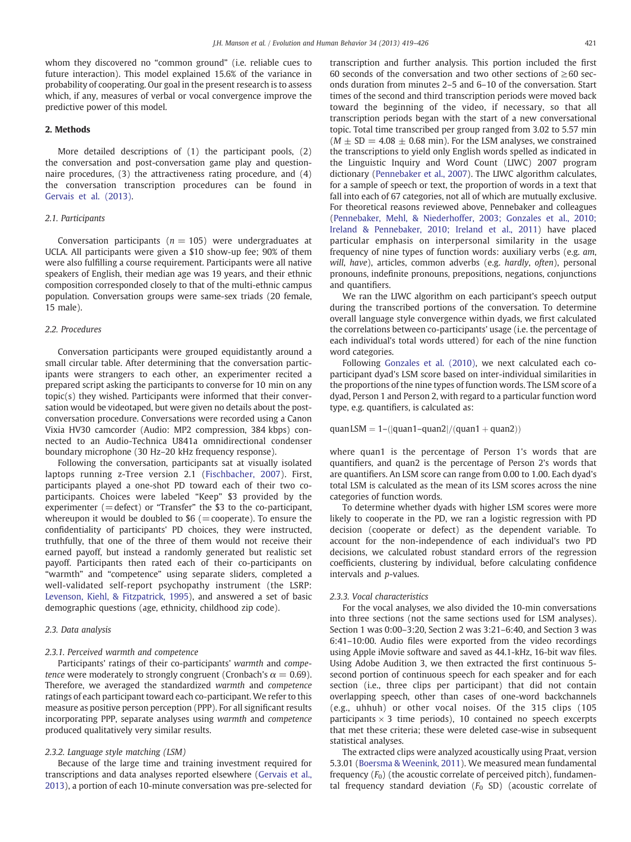whom they discovered no "common ground" (i.e. reliable cues to future interaction). This model explained 15.6% of the variance in probability of cooperating. Our goal in the present research is to assess which, if any, measures of verbal or vocal convergence improve the predictive power of this model.

# 2. Methods

More detailed descriptions of (1) the participant pools, (2) the conversation and post-conversation game play and questionnaire procedures, (3) the attractiveness rating procedure, and (4) the conversation transcription procedures can be found in [Gervais et al. \(2013\).](#page-6-0)

#### 2.1. Participants

Conversation participants ( $n = 105$ ) were undergraduates at UCLA. All participants were given a \$10 show-up fee; 90% of them were also fulfilling a course requirement. Participants were all native speakers of English, their median age was 19 years, and their ethnic composition corresponded closely to that of the multi-ethnic campus population. Conversation groups were same-sex triads (20 female, 15 male).

#### 2.2. Procedures

Conversation participants were grouped equidistantly around a small circular table. After determining that the conversation participants were strangers to each other, an experimenter recited a prepared script asking the participants to converse for 10 min on any topic(s) they wished. Participants were informed that their conversation would be videotaped, but were given no details about the postconversation procedure. Conversations were recorded using a Canon Vixia HV30 camcorder (Audio: MP2 compression, 384 kbps) connected to an Audio-Technica U841a omnidirectional condenser boundary microphone (30 Hz–20 kHz frequency response).

Following the conversation, participants sat at visually isolated laptops running z-Tree version 2.1 ([Fischbacher, 2007](#page-6-0)). First, participants played a one-shot PD toward each of their two coparticipants. Choices were labeled "Keep" \$3 provided by the experimenter  $(=$  defect) or "Transfer" the \$3 to the co-participant, whereupon it would be doubled to  $$6$  (=cooperate). To ensure the confidentiality of participants' PD choices, they were instructed, truthfully, that one of the three of them would not receive their earned payoff, but instead a randomly generated but realistic set payoff. Participants then rated each of their co-participants on "warmth" and "competence" using separate sliders, completed a well-validated self-report psychopathy instrument (the LSRP: [Levenson, Kiehl, & Fitzpatrick, 1995\)](#page-6-0), and answered a set of basic demographic questions (age, ethnicity, childhood zip code).

### 2.3. Data analysis

#### 2.3.1. Perceived warmth and competence

Participants' ratings of their co-participants' warmth and compe*tence* were moderately to strongly congruent (Cronbach's  $\alpha = 0.69$ ). Therefore, we averaged the standardized warmth and competence ratings of each participant toward each co-participant. We refer to this measure as positive person perception (PPP). For all significant results incorporating PPP, separate analyses using warmth and competence produced qualitatively very similar results.

#### 2.3.2. Language style matching (LSM)

Because of the large time and training investment required for transcriptions and data analyses reported elsewhere [\(Gervais et al.,](#page-6-0) [2013\)](#page-6-0), a portion of each 10-minute conversation was pre-selected for

transcription and further analysis. This portion included the first 60 seconds of the conversation and two other sections of  $\geq 60$  seconds duration from minutes 2–5 and 6–10 of the conversation. Start times of the second and third transcription periods were moved back toward the beginning of the video, if necessary, so that all transcription periods began with the start of a new conversational topic. Total time transcribed per group ranged from 3.02 to 5.57 min  $(M \pm SD = 4.08 \pm 0.68$  min). For the LSM analyses, we constrained the transcriptions to yield only English words spelled as indicated in the Linguistic Inquiry and Word Count (LIWC) 2007 program dictionary ([Pennebaker et al., 2007\)](#page-6-0). The LIWC algorithm calculates, for a sample of speech or text, the proportion of words in a text that fall into each of 67 categories, not all of which are mutually exclusive. For theoretical reasons reviewed above, Pennebaker and colleagues [\(Pennebaker, Mehl, & Niederhoffer, 2003; Gonzales et al., 2010;](#page-6-0) [Ireland & Pennebaker, 2010; Ireland et al., 2011](#page-6-0)) have placed particular emphasis on interpersonal similarity in the usage frequency of nine types of function words: auxiliary verbs (e.g. am, will, have), articles, common adverbs (e.g. hardly, often), personal pronouns, indefinite pronouns, prepositions, negations, conjunctions and quantifiers.

We ran the LIWC algorithm on each participant's speech output during the transcribed portions of the conversation. To determine overall language style convergence within dyads, we first calculated the correlations between co-participants' usage (i.e. the percentage of each individual's total words uttered) for each of the nine function word categories.

Following [Gonzales et al. \(2010\),](#page-6-0) we next calculated each coparticipant dyad's LSM score based on inter-individual similarities in the proportions of the nine types of function words. The LSM score of a dyad, Person 1 and Person 2, with regard to a particular function word type, e.g. quantifiers, is calculated as:

quan LSM  $= 1-(|quant -quant}]/(quant + quant2))$ 

where quan1 is the percentage of Person 1's words that are quantifiers, and quan2 is the percentage of Person 2's words that are quantifiers. An LSM score can range from 0.00 to 1.00. Each dyad's total LSM is calculated as the mean of its LSM scores across the nine categories of function words.

To determine whether dyads with higher LSM scores were more likely to cooperate in the PD, we ran a logistic regression with PD decision (cooperate or defect) as the dependent variable. To account for the non-independence of each individual's two PD decisions, we calculated robust standard errors of the regression coefficients, clustering by individual, before calculating confidence intervals and p-values.

#### 2.3.3. Vocal characteristics

For the vocal analyses, we also divided the 10-min conversations into three sections (not the same sections used for LSM analyses). Section 1 was 0:00–3:20, Section 2 was 3:21–6:40, and Section 3 was 6:41–10:00. Audio files were exported from the video recordings using Apple iMovie software and saved as 44.1-kHz, 16-bit wav files. Using Adobe Audition 3, we then extracted the first continuous 5 second portion of continuous speech for each speaker and for each section (i.e., three clips per participant) that did not contain overlapping speech, other than cases of one-word backchannels (e.g., uhhuh) or other vocal noises. Of the 315 clips (105 participants  $\times$  3 time periods), 10 contained no speech excerpts that met these criteria; these were deleted case-wise in subsequent statistical analyses.

The extracted clips were analyzed acoustically using Praat, version 5.3.01 ([Boersma & Weenink, 2011\)](#page-6-0). We measured mean fundamental frequency  $(F_0)$  (the acoustic correlate of perceived pitch), fundamental frequency standard deviation  $(F_0, SD)$  (acoustic correlate of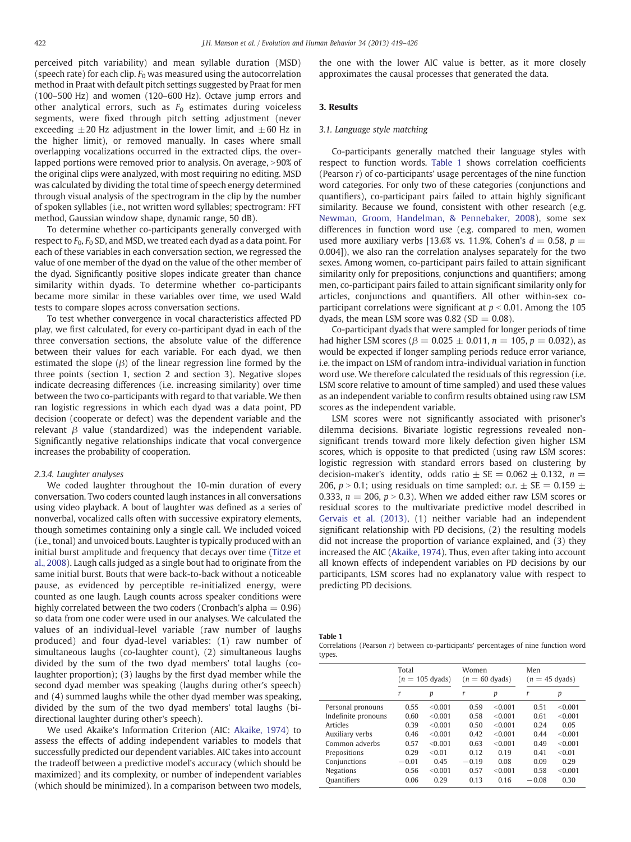<span id="page-3-0"></span>perceived pitch variability) and mean syllable duration (MSD) (speech rate) for each clip.  $F_0$  was measured using the autocorrelation method in Praat with default pitch settings suggested by Praat for men (100–500 Hz) and women (120–600 Hz). Octave jump errors and other analytical errors, such as  $F_0$  estimates during voiceless segments, were fixed through pitch setting adjustment (never exceeding  $\pm 20$  Hz adjustment in the lower limit, and  $\pm 60$  Hz in the higher limit), or removed manually. In cases where small overlapping vocalizations occurred in the extracted clips, the overlapped portions were removed prior to analysis. On average,  $>90\%$  of the original clips were analyzed, with most requiring no editing. MSD was calculated by dividing the total time of speech energy determined through visual analysis of the spectrogram in the clip by the number of spoken syllables (i.e., not written word syllables; spectrogram: FFT method, Gaussian window shape, dynamic range, 50 dB).

To determine whether co-participants generally converged with respect to  $F_0$ ,  $F_0$  SD, and MSD, we treated each dyad as a data point. For each of these variables in each conversation section, we regressed the value of one member of the dyad on the value of the other member of the dyad. Significantly positive slopes indicate greater than chance similarity within dyads. To determine whether co-participants became more similar in these variables over time, we used Wald tests to compare slopes across conversation sections.

To test whether convergence in vocal characteristics affected PD play, we first calculated, for every co-participant dyad in each of the three conversation sections, the absolute value of the difference between their values for each variable. For each dyad, we then estimated the slope  $(\beta)$  of the linear regression line formed by the three points (section 1, section 2 and section 3). Negative slopes indicate decreasing differences (i.e. increasing similarity) over time between the two co-participants with regard to that variable. We then ran logistic regressions in which each dyad was a data point, PD decision (cooperate or defect) was the dependent variable and the relevant  $\beta$  value (standardized) was the independent variable. Significantly negative relationships indicate that vocal convergence increases the probability of cooperation.

#### 2.3.4. Laughter analyses

We coded laughter throughout the 10-min duration of every conversation. Two coders counted laugh instances in all conversations using video playback. A bout of laughter was defined as a series of nonverbal, vocalized calls often with successive expiratory elements, though sometimes containing only a single call. We included voiced (i.e., tonal) and unvoiced bouts. Laughter is typically produced with an initial burst amplitude and frequency that decays over time [\(Titze et](#page-7-0) [al., 2008](#page-7-0)). Laugh calls judged as a single bout had to originate from the same initial burst. Bouts that were back-to-back without a noticeable pause, as evidenced by perceptible re-initialized energy, were counted as one laugh. Laugh counts across speaker conditions were highly correlated between the two coders (Cronbach's alpha  $= 0.96$ ) so data from one coder were used in our analyses. We calculated the values of an individual-level variable (raw number of laughs produced) and four dyad-level variables: (1) raw number of simultaneous laughs (co-laughter count), (2) simultaneous laughs divided by the sum of the two dyad members' total laughs (colaughter proportion); (3) laughs by the first dyad member while the second dyad member was speaking (laughs during other's speech) and (4) summed laughs while the other dyad member was speaking, divided by the sum of the two dyad members' total laughs (bidirectional laughter during other's speech).

We used Akaike's Information Criterion (AIC: [Akaike, 1974\)](#page-6-0) to assess the effects of adding independent variables to models that successfully predicted our dependent variables. AIC takes into account the tradeoff between a predictive model's accuracy (which should be maximized) and its complexity, or number of independent variables (which should be minimized). In a comparison between two models, the one with the lower AIC value is better, as it more closely approximates the causal processes that generated the data.

#### 3. Results

#### 3.1. Language style matching

Co-participants generally matched their language styles with respect to function words. Table 1 shows correlation coefficients (Pearson  $r$ ) of co-participants' usage percentages of the nine function word categories. For only two of these categories (conjunctions and quantifiers), co-participant pairs failed to attain highly significant similarity. Because we found, consistent with other research (e.g. [Newman, Groom, Handelman, & Pennebaker, 2008\)](#page-6-0), some sex differences in function word use (e.g. compared to men, women used more auxiliary verbs [13.6% vs. 11.9%, Cohen's  $d = 0.58$ ,  $p =$ 0.004]), we also ran the correlation analyses separately for the two sexes. Among women, co-participant pairs failed to attain significant similarity only for prepositions, conjunctions and quantifiers; among men, co-participant pairs failed to attain significant similarity only for articles, conjunctions and quantifiers. All other within-sex coparticipant correlations were significant at  $p < 0.01$ . Among the 105 dyads, the mean LSM score was  $0.82$  (SD = 0.08).

Co-participant dyads that were sampled for longer periods of time had higher LSM scores ( $β = 0.025 ± 0.011$ ,  $n = 105$ ,  $p = 0.032$ ), as would be expected if longer sampling periods reduce error variance, i.e. the impact on LSM of random intra-individual variation in function word use. We therefore calculated the residuals of this regression (i.e. LSM score relative to amount of time sampled) and used these values as an independent variable to confirm results obtained using raw LSM scores as the independent variable.

LSM scores were not significantly associated with prisoner's dilemma decisions. Bivariate logistic regressions revealed nonsignificant trends toward more likely defection given higher LSM scores, which is opposite to that predicted (using raw LSM scores: logistic regression with standard errors based on clustering by decision-maker's identity, odds ratio  $\pm$  SE = 0.062  $\pm$  0.132, n = 206,  $p > 0.1$ ; using residuals on time sampled: o.r.  $\pm$  SE = 0.159  $\pm$ 0.333,  $n = 206$ ,  $p > 0.3$ ). When we added either raw LSM scores or residual scores to the multivariate predictive model described in [Gervais et al. \(2013\)](#page-6-0), (1) neither variable had an independent significant relationship with PD decisions, (2) the resulting models did not increase the proportion of variance explained, and (3) they increased the AIC ([Akaike, 1974](#page-6-0)). Thus, even after taking into account all known effects of independent variables on PD decisions by our participants, LSM scores had no explanatory value with respect to predicting PD decisions.

#### Table 1

Correlations (Pearson r) between co-participants' percentages of nine function word types.

|                     | Total<br>$(n = 105 \text{ dyads})$ |         | Women<br>$(n = 60 \text{ dyads})$ |         | Men<br>$(n = 45 \text{ dyads})$ |         |
|---------------------|------------------------------------|---------|-----------------------------------|---------|---------------------------------|---------|
|                     | r                                  | p       | r                                 | р       | r                               | р       |
| Personal pronouns   | 0.55                               | < 0.001 | 0.59                              | < 0.001 | 0.51                            | < 0.001 |
| Indefinite pronouns | 0.60                               | < 0.001 | 0.58                              | < 0.001 | 0.61                            | < 0.001 |
| Articles            | 0.39                               | < 0.001 | 0.50                              | < 0.001 | 0.24                            | 0.05    |
| Auxiliary verbs     | 0.46                               | < 0.001 | 0.42                              | < 0.001 | 0.44                            | < 0.001 |
| Common adverbs      | 0.57                               | < 0.001 | 0.63                              | < 0.001 | 0.49                            | < 0.001 |
| Prepositions        | 0.29                               | < 0.01  | 0.12                              | 0.19    | 0.41                            | < 0.01  |
| Conjunctions        | $-0.01$                            | 0.45    | $-0.19$                           | 0.08    | 0.09                            | 0.29    |
| <b>Negations</b>    | 0.56                               | < 0.001 | 0.57                              | < 0.001 | 0.58                            | < 0.001 |
| Ouantifiers         | 0.06                               | 0.29    | 0.13                              | 0.16    | $-0.08$                         | 0.30    |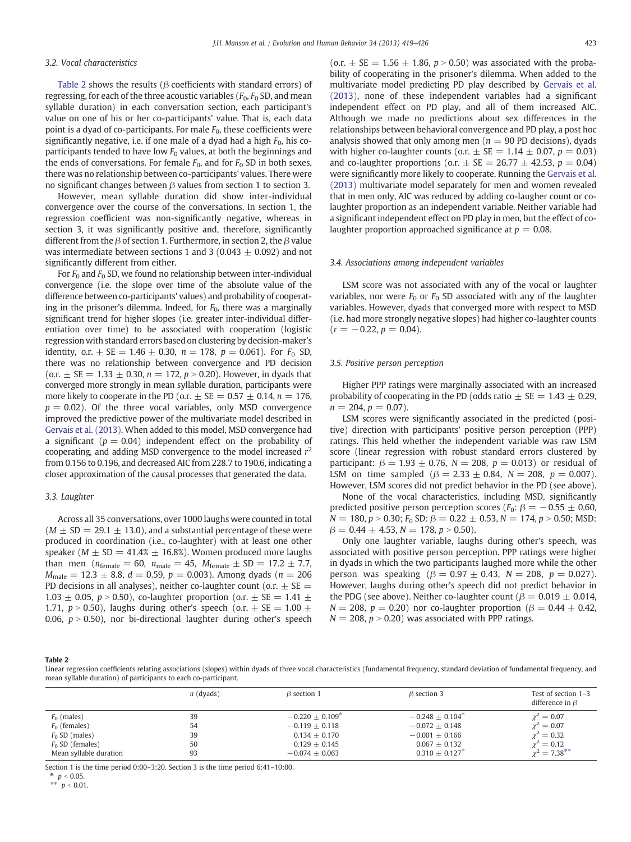### 3.2. Vocal characteristics

Table 2 shows the results ( $\beta$  coefficients with standard errors) of regressing, for each of the three acoustic variables ( $F_0$ ,  $F_0$  SD, and mean syllable duration) in each conversation section, each participant's value on one of his or her co-participants' value. That is, each data point is a dyad of co-participants. For male  $F_0$ , these coefficients were significantly negative, i.e. if one male of a dyad had a high  $F_0$ , his coparticipants tended to have low  $F_0$  values, at both the beginnings and the ends of conversations. For female  $F_0$ , and for  $F_0$  SD in both sexes, there was no relationship between co-participants' values. There were no significant changes between  $β$  values from section 1 to section 3.

However, mean syllable duration did show inter-individual convergence over the course of the conversations. In section 1, the regression coefficient was non-significantly negative, whereas in section 3, it was significantly positive and, therefore, significantly different from the  $\beta$  of section 1. Furthermore, in section 2, the  $\beta$  value was intermediate between sections 1 and 3 (0.043  $\pm$  0.092) and not significantly different from either.

For  $F_0$  and  $F_0$  SD, we found no relationship between inter-individual convergence (i.e. the slope over time of the absolute value of the difference between co-participants' values) and probability of cooperating in the prisoner's dilemma. Indeed, for  $F_0$ , there was a marginally significant trend for higher slopes (i.e. greater inter-individual differentiation over time) to be associated with cooperation (logistic regression with standard errors based on clustering by decision-maker's identity, o.r.  $\pm$  SE = 1.46  $\pm$  0.30, n = 178, p = 0.061). For  $F_0$  SD, there was no relationship between convergence and PD decision (o.r.  $\pm$  SE = 1.33  $\pm$  0.30, n = 172, p > 0.20). However, in dyads that converged more strongly in mean syllable duration, participants were more likely to cooperate in the PD (o.r.  $\pm$  SE = 0.57  $\pm$  0.14, n = 176,  $p = 0.02$ ). Of the three vocal variables, only MSD convergence improved the predictive power of the multivariate model described in [Gervais et al. \(2013\).](#page-6-0) When added to this model, MSD convergence had a significant ( $p = 0.04$ ) independent effect on the probability of cooperating, and adding MSD convergence to the model increased  $r^2$ from 0.156 to 0.196, and decreased AIC from 228.7 to 190.6, indicating a closer approximation of the causal processes that generated the data.

#### 3.3. Laughter

Across all 35 conversations, over 1000 laughs were counted in total  $(M \pm SD = 29.1 \pm 13.0)$ , and a substantial percentage of these were produced in coordination (i.e., co-laughter) with at least one other speaker ( $M \pm SD = 41.4\% \pm 16.8\%$ ). Women produced more laughs than men ( $n_{\text{female}} = 60$ ,  $n_{\text{male}} = 45$ ,  $M_{\text{female}} \pm SD = 17.2 \pm 7.7$ ,  $M_{\text{male}} = 12.3 \pm 8.8, d = 0.59, p = 0.003$ . Among dyads ( $n = 206$ PD decisions in all analyses), neither co-laughter count (o.r.  $\pm$  SE = 1.03  $\pm$  0.05, p > 0.50), co-laughter proportion (o.r.  $\pm$  SE = 1.41  $\pm$ 1.71,  $p > 0.50$ ), laughs during other's speech (o.r.  $\pm$  SE = 1.00  $\pm$ 0.06,  $p > 0.50$ ), nor bi-directional laughter during other's speech

(o.r.  $\pm$  SE = 1.56  $\pm$  1.86, p > 0.50) was associated with the probability of cooperating in the prisoner's dilemma. When added to the multivariate model predicting PD play described by [Gervais et al.](#page-6-0) [\(2013\)](#page-6-0), none of these independent variables had a significant independent effect on PD play, and all of them increased AIC. Although we made no predictions about sex differences in the relationships between behavioral convergence and PD play, a post hoc analysis showed that only among men ( $n = 90$  PD decisions), dyads with higher co-laughter counts (o.r.  $\pm$  SE = 1.14  $\pm$  0.07, p = 0.03) and co-laughter proportions (o.r.  $\pm$  SE = 26.77  $\pm$  42.53, p = 0.04) were significantly more likely to cooperate. Running the [Gervais et al.](#page-6-0) [\(2013\)](#page-6-0) multivariate model separately for men and women revealed that in men only, AIC was reduced by adding co-laugher count or colaughter proportion as an independent variable. Neither variable had a significant independent effect on PD play in men, but the effect of colaughter proportion approached significance at  $p = 0.08$ .

#### 3.4. Associations among independent variables

LSM score was not associated with any of the vocal or laughter variables, nor were  $F_0$  or  $F_0$  SD associated with any of the laughter variables. However, dyads that converged more with respect to MSD (i.e. had more strongly negative slopes) had higher co-laughter counts  $(r = -0.22, p = 0.04).$ 

#### 3.5. Positive person perception

Higher PPP ratings were marginally associated with an increased probability of cooperating in the PD (odds ratio  $\pm$  SE = 1.43  $\pm$  0.29,  $n = 204$ ,  $p = 0.07$ ).

LSM scores were significantly associated in the predicted (positive) direction with participants' positive person perception (PPP) ratings. This held whether the independent variable was raw LSM score (linear regression with robust standard errors clustered by participant:  $\beta = 1.93 \pm 0.76$ ,  $N = 208$ ,  $p = 0.013$ ) or residual of LSM on time sampled ( $\beta = 2.33 \pm 0.84$ ,  $N = 208$ ,  $p = 0.007$ ). However, LSM scores did not predict behavior in the PD (see above).

None of the vocal characteristics, including MSD, significantly predicted positive person perception scores ( $F_0$ :  $\beta = -0.55 \pm 0.60$ ,  $N = 180$ ,  $p > 0.30$ ;  $F_0$  SD:  $\beta = 0.22 \pm 0.53$ ,  $N = 174$ ,  $p > 0.50$ ; MSD:  $\beta = 0.44 \pm 4.53$ ,  $N = 178$ ,  $p > 0.50$ ).

Only one laughter variable, laughs during other's speech, was associated with positive person perception. PPP ratings were higher in dyads in which the two participants laughed more while the other person was speaking ( $β = 0.97 ± 0.43$ ,  $N = 208$ ,  $p = 0.027$ ). However, laughs during other's speech did not predict behavior in the PDG (see above). Neither co-laughter count ( $\beta = 0.019 \pm 0.014$ ,  $N = 208$ ,  $p = 0.20$ ) nor co-laughter proportion (β = 0.44  $\pm$  0.42,  $N = 208$ ,  $p > 0.20$ ) was associated with PPP ratings.

Table 2

Linear regression coefficients relating associations (slopes) within dyads of three vocal characteristics (fundamental frequency, standard deviation of fundamental frequency, and mean syllable duration) of participants to each co-participant.

|                        | $n$ (dyads) | $\beta$ section 1  | $\beta$ section 3            | Test of section 1-3<br>difference in $\beta$ |
|------------------------|-------------|--------------------|------------------------------|----------------------------------------------|
| $F_0$ (males)          | 39          | $-0.220 + 0.109^*$ | $-0.248 + 0.104^*$           | $\gamma^2 = 0.07$                            |
| $F_0$ (females)        | 54          | $-0.119 + 0.118$   | $-0.072 + 0.148$             | $v^2 = 0.07$                                 |
| $F_0$ SD (males)       | 39          | $0.134 + 0.170$    | $-0.001 + 0.166$             | $y^2 = 0.32$                                 |
| $F_0$ SD (females)     | 50          | $0.129 + 0.145$    | $0.067 + 0.132$              | $v^2 = 0.12$                                 |
| Mean syllable duration | 93          | $-0.074 + 0.063$   | $0.310 + 0.127$ <sup>*</sup> | $\chi^2 = 7.38$ <sup>**</sup>                |

Section 1 is the time period 0:00–3:20. Section 3 is the time period 6:41–10:00.

 $*$   $p < 0.05$ . \*\*  $p < 0.01$ .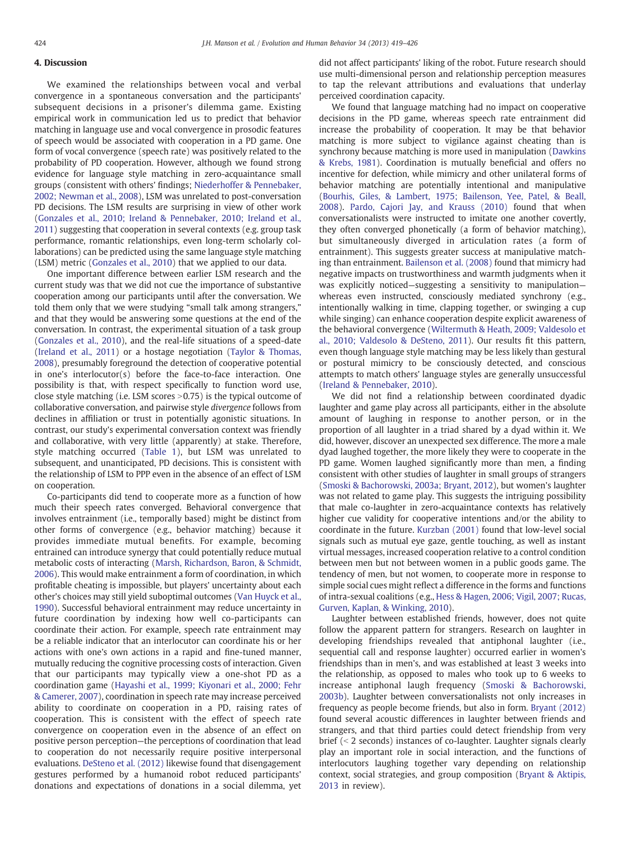#### 4. Discussion

We examined the relationships between vocal and verbal convergence in a spontaneous conversation and the participants' subsequent decisions in a prisoner's dilemma game. Existing empirical work in communication led us to predict that behavior matching in language use and vocal convergence in prosodic features of speech would be associated with cooperation in a PD game. One form of vocal convergence (speech rate) was positively related to the probability of PD cooperation. However, although we found strong evidence for language style matching in zero-acquaintance small groups (consistent with others' findings; [Niederhoffer & Pennebaker,](#page-6-0) [2002; Newman et al., 2008\)](#page-6-0), LSM was unrelated to post-conversation PD decisions. The LSM results are surprising in view of other work ([Gonzales et al., 2010; Ireland & Pennebaker, 2010; Ireland et al.,](#page-6-0) [2011\)](#page-6-0) suggesting that cooperation in several contexts (e.g. group task performance, romantic relationships, even long-term scholarly collaborations) can be predicted using the same language style matching (LSM) metric ([Gonzales et al., 2010\)](#page-6-0) that we applied to our data.

One important difference between earlier LSM research and the current study was that we did not cue the importance of substantive cooperation among our participants until after the conversation. We told them only that we were studying "small talk among strangers," and that they would be answering some questions at the end of the conversation. In contrast, the experimental situation of a task group ([Gonzales et al., 2010](#page-6-0)), and the real-life situations of a speed-date ([Ireland et al., 2011\)](#page-6-0) or a hostage negotiation [\(Taylor & Thomas,](#page-7-0) [2008\)](#page-7-0), presumably foreground the detection of cooperative potential in one's interlocutor(s) before the face-to-face interaction. One possibility is that, with respect specifically to function word use, close style matching (i.e. LSM scores  $>0.75$ ) is the typical outcome of collaborative conversation, and pairwise style divergence follows from declines in affiliation or trust in potentially agonistic situations. In contrast, our study's experimental conversation context was friendly and collaborative, with very little (apparently) at stake. Therefore, style matching occurred ([Table 1](#page-3-0)), but LSM was unrelated to subsequent, and unanticipated, PD decisions. This is consistent with the relationship of LSM to PPP even in the absence of an effect of LSM on cooperation.

Co-participants did tend to cooperate more as a function of how much their speech rates converged. Behavioral convergence that involves entrainment (i.e., temporally based) might be distinct from other forms of convergence (e.g., behavior matching) because it provides immediate mutual benefits. For example, becoming entrained can introduce synergy that could potentially reduce mutual metabolic costs of interacting [\(Marsh, Richardson, Baron, & Schmidt,](#page-6-0) [2006\)](#page-6-0). This would make entrainment a form of coordination, in which profitable cheating is impossible, but players' uncertainty about each other's choices may still yield suboptimal outcomes ([Van Huyck et al.,](#page-7-0) [1990\)](#page-7-0). Successful behavioral entrainment may reduce uncertainty in future coordination by indexing how well co-participants can coordinate their action. For example, speech rate entrainment may be a reliable indicator that an interlocutor can coordinate his or her actions with one's own actions in a rapid and fine-tuned manner, mutually reducing the cognitive processing costs of interaction. Given that our participants may typically view a one-shot PD as a coordination game ([Hayashi et al., 1999; Kiyonari et al., 2000; Fehr](#page-6-0) [& Camerer, 2007](#page-6-0)), coordination in speech rate may increase perceived ability to coordinate on cooperation in a PD, raising rates of cooperation. This is consistent with the effect of speech rate convergence on cooperation even in the absence of an effect on positive person perception—the perceptions of coordination that lead to cooperation do not necessarily require positive interpersonal evaluations. [DeSteno et al. \(2012\)](#page-6-0) likewise found that disengagement gestures performed by a humanoid robot reduced participants' donations and expectations of donations in a social dilemma, yet did not affect participants' liking of the robot. Future research should use multi-dimensional person and relationship perception measures to tap the relevant attributions and evaluations that underlay perceived coordination capacity.

We found that language matching had no impact on cooperative decisions in the PD game, whereas speech rate entrainment did increase the probability of cooperation. It may be that behavior matching is more subject to vigilance against cheating than is synchrony because matching is more used in manipulation [\(Dawkins](#page-6-0) [& Krebs, 1981](#page-6-0)). Coordination is mutually beneficial and offers no incentive for defection, while mimicry and other unilateral forms of behavior matching are potentially intentional and manipulative ([Bourhis, Giles, & Lambert, 1975; Bailenson, Yee, Patel, & Beall,](#page-6-0) [2008\)](#page-6-0). [Pardo, Cajori Jay, and Krauss \(2010\)](#page-6-0) found that when conversationalists were instructed to imitate one another covertly, they often converged phonetically (a form of behavior matching), but simultaneously diverged in articulation rates (a form of entrainment). This suggests greater success at manipulative matching than entrainment. [Bailenson et al. \(2008\)](#page-6-0) found that mimicry had negative impacts on trustworthiness and warmth judgments when it was explicitly noticed—suggesting a sensitivity to manipulation whereas even instructed, consciously mediated synchrony (e.g., intentionally walking in time, clapping together, or swinging a cup while singing) can enhance cooperation despite explicit awareness of the behavioral convergence [\(Wiltermuth & Heath, 2009; Valdesolo et](#page-7-0) [al., 2010; Valdesolo & DeSteno, 2011](#page-7-0)). Our results fit this pattern, even though language style matching may be less likely than gestural or postural mimicry to be consciously detected, and conscious attempts to match others' language styles are generally unsuccessful ([Ireland & Pennebaker, 2010](#page-6-0)).

We did not find a relationship between coordinated dyadic laughter and game play across all participants, either in the absolute amount of laughing in response to another person, or in the proportion of all laughter in a triad shared by a dyad within it. We did, however, discover an unexpected sex difference. The more a male dyad laughed together, the more likely they were to cooperate in the PD game. Women laughed significantly more than men, a finding consistent with other studies of laughter in small groups of strangers ([Smoski & Bachorowski, 2003a; Bryant, 2012](#page-7-0)), but women's laughter was not related to game play. This suggests the intriguing possibility that male co-laughter in zero-acquaintance contexts has relatively higher cue validity for cooperative intentions and/or the ability to coordinate in the future. [Kurzban \(2001\)](#page-6-0) found that low-level social signals such as mutual eye gaze, gentle touching, as well as instant virtual messages, increased cooperation relative to a control condition between men but not between women in a public goods game. The tendency of men, but not women, to cooperate more in response to simple social cues might reflect a difference in the forms and functions of intra-sexual coalitions (e.g., [Hess & Hagen, 2006; Vigil, 2007; Rucas,](#page-6-0) [Gurven, Kaplan, & Winking, 2010](#page-6-0)).

Laughter between established friends, however, does not quite follow the apparent pattern for strangers. Research on laughter in developing friendships revealed that antiphonal laughter (i.e., sequential call and response laughter) occurred earlier in women's friendships than in men's, and was established at least 3 weeks into the relationship, as opposed to males who took up to 6 weeks to increase antiphonal laugh frequency ([Smoski & Bachorowski,](#page-7-0) [2003b](#page-7-0)). Laughter between conversationalists not only increases in frequency as people become friends, but also in form. [Bryant \(2012\)](#page-6-0) found several acoustic differences in laughter between friends and strangers, and that third parties could detect friendship from very brief  $(< 2$  seconds) instances of co-laughter. Laughter signals clearly play an important role in social interaction, and the functions of interlocutors laughing together vary depending on relationship context, social strategies, and group composition ([Bryant & Aktipis,](#page-6-0) [2013](#page-6-0) in review).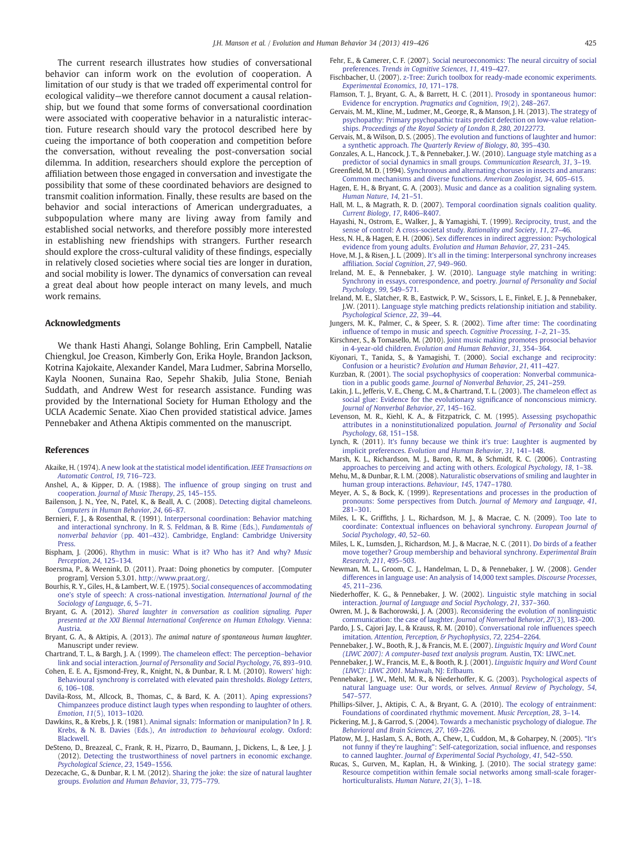<span id="page-6-0"></span>The current research illustrates how studies of conversational behavior can inform work on the evolution of cooperation. A limitation of our study is that we traded off experimental control for ecological validity—we therefore cannot document a causal relationship, but we found that some forms of conversational coordination were associated with cooperative behavior in a naturalistic interaction. Future research should vary the protocol described here by cueing the importance of both cooperation and competition before the conversation, without revealing the post-conversation social dilemma. In addition, researchers should explore the perception of affiliation between those engaged in conversation and investigate the possibility that some of these coordinated behaviors are designed to transmit coalition information. Finally, these results are based on the behavior and social interactions of American undergraduates, a subpopulation where many are living away from family and established social networks, and therefore possibly more interested in establishing new friendships with strangers. Further research should explore the cross-cultural validity of these findings, especially in relatively closed societies where social ties are longer in duration, and social mobility is lower. The dynamics of conversation can reveal a great deal about how people interact on many levels, and much work remains.

#### Acknowledgments

We thank Hasti Ahangi, Solange Bohling, Erin Campbell, Natalie Chiengkul, Joe Creason, Kimberly Gon, Erika Hoyle, Brandon Jackson, Kotrina Kajokaite, Alexander Kandel, Mara Ludmer, Sabrina Morsello, Kayla Noonen, Sunaina Rao, Sepehr Shakib, Julia Stone, Beniah Suddath, and Andrew West for research assistance. Funding was provided by the International Society for Human Ethology and the UCLA Academic Senate. Xiao Chen provided statistical advice. James Pennebaker and Athena Aktipis commented on the manuscript.

#### References

- Akaike, H. (1974). [A new look at the statistical model identi](http://refhub.elsevier.com/S1090-5138(13)00074-3/rf0005)fication. IEEE Transactions on [Automatic Control](http://refhub.elsevier.com/S1090-5138(13)00074-3/rf0005), 19, 716–723.
- Anshel, A., & Kipper, D. A. (1988). The infl[uence of group singing on trust and](http://refhub.elsevier.com/S1090-5138(13)00074-3/rf0010) cooperation. [Journal of Music Therapy](http://refhub.elsevier.com/S1090-5138(13)00074-3/rf0010), 25, 145–155.
- Bailenson, J. N., Yee, N., Patel, K., & Beall, A. C. (2008). [Detecting digital chameleons.](http://refhub.elsevier.com/S1090-5138(13)00074-3/rf0015) [Computers in Human Behavior](http://refhub.elsevier.com/S1090-5138(13)00074-3/rf0015), 24, 66–87.
- Bernieri, F. J., & Rosenthal, R. (1991). [Interpersonal coordination: Behavior matching](http://refhub.elsevier.com/S1090-5138(13)00074-3/rf0020) [and interactional synchrony. In R. S. Feldman, & B. Rime \(Eds.\),](http://refhub.elsevier.com/S1090-5138(13)00074-3/rf0020) Fundamentals of nonverbal behavior (pp. 401–[432\). Cambridge, England: Cambridge University](http://refhub.elsevier.com/S1090-5138(13)00074-3/rf0020) [Press.](http://refhub.elsevier.com/S1090-5138(13)00074-3/rf0020)
- Bispham, J. (2006). [Rhythm in music: What is it? Who has it? And why?](http://refhub.elsevier.com/S1090-5138(13)00074-3/rf0025) Music [Perception](http://refhub.elsevier.com/S1090-5138(13)00074-3/rf0025), 24, 125–134.
- Boersma, P., & Weenink, D. (2011). Praat: Doing phonetics by computer. [Computer program]. Version 5.3.01. [http://www.praat.org/.](http://www.praat.org/)
- Bourhis, R. Y., Giles, H., & Lambert, W. E. (1975). [Social consequences of accommodating](http://refhub.elsevier.com/S1090-5138(13)00074-3/rf0035) [one's style of speech: A cross-national investigation.](http://refhub.elsevier.com/S1090-5138(13)00074-3/rf0035) International Journal of the [Sociology of Language](http://refhub.elsevier.com/S1090-5138(13)00074-3/rf0035), 6, 5–71.
- Bryant, G. A. (2012). [Shared laughter in conversation as coalition signaling. Paper](http://refhub.elsevier.com/S1090-5138(13)00074-3/rf0040) [presented at the XXI Biennal International Conference on Human Ethology.](http://refhub.elsevier.com/S1090-5138(13)00074-3/rf0040) Vienna: [Austria.](http://refhub.elsevier.com/S1090-5138(13)00074-3/rf0040)
- Bryant, G. A., & Aktipis, A. (2013). The animal nature of spontaneous human laughter. Manuscript under review.
- Chartrand, T. L., & Bargh, J. A. (1999). [The chameleon effect: The perception](http://refhub.elsevier.com/S1090-5138(13)00074-3/rf0045)–behavior link and social interaction. [Journal of Personality and Social Psychology](http://refhub.elsevier.com/S1090-5138(13)00074-3/rf0045), 76, 893–910.
- Cohen, E. E. A., Ejsmond-Frey, R., Knight, N., & Dunbar, R. I. M. (2010). [Rowers' high:](http://refhub.elsevier.com/S1090-5138(13)00074-3/rf0050) [Behavioural synchrony is correlated with elevated pain thresholds.](http://refhub.elsevier.com/S1090-5138(13)00074-3/rf0050) Biology Letters, 6[, 106](http://refhub.elsevier.com/S1090-5138(13)00074-3/rf0050)–108.
- Davila-Ross, M., Allcock, B., Thomas, C., & Bard, K. A. (2011). [Aping expressions?](http://refhub.elsevier.com/S1090-5138(13)00074-3/rf0055) [Chimpanzees produce distinct laugh types when responding to laughter of others.](http://refhub.elsevier.com/S1090-5138(13)00074-3/rf0055) Emotion, 11[\(5\), 1013](http://refhub.elsevier.com/S1090-5138(13)00074-3/rf0055)–1020.
- Dawkins, R., & Krebs, J. R. (1981). [Animal signals: Information or manipulation? In J. R.](http://refhub.elsevier.com/S1090-5138(13)00074-3/rf0060) Krebs, & N. B. Davies (Eds.), [An introduction to behavioural ecology](http://refhub.elsevier.com/S1090-5138(13)00074-3/rf0060). Oxford: [Blackwell.](http://refhub.elsevier.com/S1090-5138(13)00074-3/rf0060)
- DeSteno, D., Breazeal, C., Frank, R. H., Pizarro, D., Baumann, J., Dickens, L., & Lee, J. J. (2012). [Detecting the trustworthiness of novel partners in economic exchange.](http://refhub.elsevier.com/S1090-5138(13)00074-3/rf0065) [Psychological Science](http://refhub.elsevier.com/S1090-5138(13)00074-3/rf0065), 23, 1549–1556.
- Dezecache, G., & Dunbar, R. I. M. (2012). [Sharing the joke: the size of natural laughter](http://refhub.elsevier.com/S1090-5138(13)00074-3/rf0320) groups. [Evolution and Human Behavior](http://refhub.elsevier.com/S1090-5138(13)00074-3/rf0320), 33, 775–779.
- Fehr, E., & Camerer, C. F. (2007). [Social neuroeconomics: The neural circuitry of social](http://refhub.elsevier.com/S1090-5138(13)00074-3/rf0070) preferences. [Trends in Cognitive Sciences](http://refhub.elsevier.com/S1090-5138(13)00074-3/rf0070), 11, 419–427.
- Fischbacher, U. (2007). [z-Tree: Zurich toolbox for ready-made economic experiments.](http://refhub.elsevier.com/S1090-5138(13)00074-3/rf0075) [Experimental Economics](http://refhub.elsevier.com/S1090-5138(13)00074-3/rf0075), 10, 171–178.
- Flamson, T. J., Bryant, G. A., & Barrett, H. C. (2011). [Prosody in spontaneous humor:](http://refhub.elsevier.com/S1090-5138(13)00074-3/rf0080) Evidence for encryption. [Pragmatics and Cognition](http://refhub.elsevier.com/S1090-5138(13)00074-3/rf0080), 19(2), 248–267.
- Gervais, M. M., Kline, M., Ludmer, M., George, R., & Manson, J. H. (2013). [The strategy of](http://refhub.elsevier.com/S1090-5138(13)00074-3/rf0085) [psychopathy: Primary psychopathic traits predict defection on low-value relation](http://refhub.elsevier.com/S1090-5138(13)00074-3/rf0085)ships. [Proceedings of the Royal Society of London B](http://refhub.elsevier.com/S1090-5138(13)00074-3/rf0085), 280, 20122773.
- Gervais, M., & Wilson, D. S. (2005). [The evolution and functions of laughter and humor:](http://refhub.elsevier.com/S1090-5138(13)00074-3/rf0315) a synthetic approach. [The Quarterly Review of Biology](http://refhub.elsevier.com/S1090-5138(13)00074-3/rf0315), 80, 395–430.
- Gonzales, A. L., Hancock, J. T., & Pennebaker, J. W. (2010). [Language style matching as a](http://refhub.elsevier.com/S1090-5138(13)00074-3/rf0090) [predictor of social dynamics in small groups.](http://refhub.elsevier.com/S1090-5138(13)00074-3/rf0090) Communication Research, 31, 3–19.
- Greenfield, M. D. (1994). [Synchronous and alternating choruses in insects and anurans:](http://refhub.elsevier.com/S1090-5138(13)00074-3/rf0095) [Common mechanisms and diverse functions.](http://refhub.elsevier.com/S1090-5138(13)00074-3/rf0095) American Zoologist, 34, 605–615. Hagen, E. H., & Bryant, G. A. (2003). [Music and dance as a coalition signaling system.](http://refhub.elsevier.com/S1090-5138(13)00074-3/rf0100)
- [Human Nature](http://refhub.elsevier.com/S1090-5138(13)00074-3/rf0100), 14, 21–51. Hall, M. L., & Magrath, R. D. (2007). [Temporal coordination signals coalition quality.](http://refhub.elsevier.com/S1090-5138(13)00074-3/rf0105)
- [Current Biology](http://refhub.elsevier.com/S1090-5138(13)00074-3/rf0105), 17, R406–R407. Hayashi, N., Ostrom, E., Walker, J., & Yamagishi, T. (1999). [Reciprocity, trust, and the](http://refhub.elsevier.com/S1090-5138(13)00074-3/rf0110)
- [sense of control: A cross-societal study.](http://refhub.elsevier.com/S1090-5138(13)00074-3/rf0110) Rationality and Society, 11, 27–46. Hess, N. H., & Hagen, E. H. (2006). [Sex differences in indirect aggression: Psychological](http://refhub.elsevier.com/S1090-5138(13)00074-3/rf0115)
- evidence from young adults. [Evolution and Human Behavior](http://refhub.elsevier.com/S1090-5138(13)00074-3/rf0115), 27, 231–245. Hove, M. J., & Risen, J. L. (2009). [It's all in the timing: Interpersonal synchrony increases](http://refhub.elsevier.com/S1090-5138(13)00074-3/rf0120)
- affiliation. [Social Cognition](http://refhub.elsevier.com/S1090-5138(13)00074-3/rf0120), 27, 949–960.
- Ireland, M. E., & Pennebaker, J. W. (2010). [Language style matching in writing:](http://refhub.elsevier.com/S1090-5138(13)00074-3/rf0125) [Synchrony in essays, correspondence, and poetry.](http://refhub.elsevier.com/S1090-5138(13)00074-3/rf0125) Journal of Personality and Social [Psychology](http://refhub.elsevier.com/S1090-5138(13)00074-3/rf0125), 99, 549–571.
- Ireland, M. E., Slatcher, R. B., Eastwick, P. W., Scissors, L. E., Finkel, E. J., & Pennebaker, J.W. (2011). [Language style matching predicts relationship initiation and stability.](http://refhub.elsevier.com/S1090-5138(13)00074-3/rf0130) [Psychological Science](http://refhub.elsevier.com/S1090-5138(13)00074-3/rf0130), 22, 39–44.
- Jungers, M. K., Palmer, C., & Speer, S. R. (2002). [Time after time: The coordinating](http://refhub.elsevier.com/S1090-5138(13)00074-3/rf0135) infl[uence of tempo in music and speech.](http://refhub.elsevier.com/S1090-5138(13)00074-3/rf0135) Cognitive Processing, 1–2, 21–35.
- Kirschner, S., & Tomasello, M. (2010). [Joint music making promotes prosocial behavior](http://refhub.elsevier.com/S1090-5138(13)00074-3/rf0140) in 4-year-old children. [Evolution and Human Behavior](http://refhub.elsevier.com/S1090-5138(13)00074-3/rf0140), 31, 354–364.
- Kiyonari, T., Tanida, S., & Yamagishi, T. (2000). [Social exchange and reciprocity:](http://refhub.elsevier.com/S1090-5138(13)00074-3/rf0145) Confusion or a heuristic? [Evolution and Human Behavior](http://refhub.elsevier.com/S1090-5138(13)00074-3/rf0145), 21, 411–427.
- Kurzban, R. (2001). [The social psychophysics of cooperation: Nonverbal communica](http://refhub.elsevier.com/S1090-5138(13)00074-3/rf0150)tion in a public goods game. [Journal of Nonverbal Behavior](http://refhub.elsevier.com/S1090-5138(13)00074-3/rf0150), 25, 241–259.
- Lakin, J. L., Jefferis, V. E., Cheng, C. M., & Chartrand, T. L. (2003). [The chameleon effect as](http://refhub.elsevier.com/S1090-5138(13)00074-3/rf0155) [social glue: Evidence for the evolutionary signi](http://refhub.elsevier.com/S1090-5138(13)00074-3/rf0155)ficance of nonconscious mimicry. [Journal of Nonverbal Behavior](http://refhub.elsevier.com/S1090-5138(13)00074-3/rf0155), 27, 145–162.
- Levenson, M. R., Kiehl, K. A., & Fitzpatrick, C. M. (1995). [Assessing psychopathic](http://refhub.elsevier.com/S1090-5138(13)00074-3/rf0160) [attributes in a noninstitutionalized population.](http://refhub.elsevier.com/S1090-5138(13)00074-3/rf0160) Journal of Personality and Social [Psychology](http://refhub.elsevier.com/S1090-5138(13)00074-3/rf0160), 68, 151–158.
- Lynch, R. (2011). [It's funny because we think it's true: Laughter is augmented by](http://refhub.elsevier.com/S1090-5138(13)00074-3/rf0165) implicit preferences. [Evolution and Human Behavior](http://refhub.elsevier.com/S1090-5138(13)00074-3/rf0165), 31, 141–148.
- Marsh, K. L., Richardson, M. J., Baron, R. M., & Schmidt, R. C. (2006). [Contrasting](http://refhub.elsevier.com/S1090-5138(13)00074-3/rf0170) [approaches to perceiving and acting with others.](http://refhub.elsevier.com/S1090-5138(13)00074-3/rf0170) Ecological Psychology, 18, 1–38.
- Mehu, M., & Dunbar, R. I. M. (2008). [Naturalistic observations of smiling and laughter in](http://refhub.elsevier.com/S1090-5138(13)00074-3/rf0175) [human group interactions.](http://refhub.elsevier.com/S1090-5138(13)00074-3/rf0175) Behaviour, 145, 1747–1780.
- Meyer, A. S., & Bock, K. (1999). [Representations and processes in the production of](http://refhub.elsevier.com/S1090-5138(13)00074-3/rf0180) [pronouns: Some perspectives from Dutch.](http://refhub.elsevier.com/S1090-5138(13)00074-3/rf0180) Journal of Memory and Language, 41, 281–[301.](http://refhub.elsevier.com/S1090-5138(13)00074-3/rf0180)
- Miles, L. K., Griffiths, J. L., Richardson, M. J., & Macrae, C. N. (2009). [Too late to](http://refhub.elsevier.com/S1090-5138(13)00074-3/rf0185) coordinate: Contextual infl[uences on behavioral synchrony.](http://refhub.elsevier.com/S1090-5138(13)00074-3/rf0185) European Journal of [Social Psychology](http://refhub.elsevier.com/S1090-5138(13)00074-3/rf0185), 40, 52–60.
- Miles, L. K., Lumsden, J., Richardson, M. J., & Macrae, N. C. (2011). [Do birds of a feather](http://refhub.elsevier.com/S1090-5138(13)00074-3/rf0190) [move together? Group membership and behavioral synchrony.](http://refhub.elsevier.com/S1090-5138(13)00074-3/rf0190) Experimental Brain [Research](http://refhub.elsevier.com/S1090-5138(13)00074-3/rf0190), 211, 495–503.
- Newman, M. L., Groom, C. J., Handelman, L. D., & Pennebaker, J. W. (2008). [Gender](http://refhub.elsevier.com/S1090-5138(13)00074-3/rf0195) [differences in language use: An analysis of 14,000 text samples.](http://refhub.elsevier.com/S1090-5138(13)00074-3/rf0195) Discourse Processes, 45[, 211](http://refhub.elsevier.com/S1090-5138(13)00074-3/rf0195)–236.
- Niederhoffer, K. G., & Pennebaker, J. W. (2002). [Linguistic style matching in social](http://refhub.elsevier.com/S1090-5138(13)00074-3/rf0200) interaction. [Journal of Language and Social Psychology](http://refhub.elsevier.com/S1090-5138(13)00074-3/rf0200), 21, 337–360.
- Owren, M. J., & Bachorowski, J. A. (2003). [Reconsidering the evolution of nonlinguistic](http://refhub.elsevier.com/S1090-5138(13)00074-3/rf0205) [communication: the case of laughter.](http://refhub.elsevier.com/S1090-5138(13)00074-3/rf0205) Journal of Nonverbal Behavior, 27(3), 183–200.
- Pardo, J. S., Cajori Jay, I., & Krauss, R. M. (2010). [Conversational role in](http://refhub.elsevier.com/S1090-5138(13)00074-3/rf0210)fluences speech imitation. [Attention, Perception, & Psychophysics](http://refhub.elsevier.com/S1090-5138(13)00074-3/rf0210), 72, 2254–2264.
- Pennebaker, J. W., Booth, R. J., & Francis, M. E. (2007). [Linguistic Inquiry and Word Count](http://refhub.elsevier.com/S1090-5138(13)00074-3/rf0215) [\(LIWC 2007\): A computer-based text analysis program.](http://refhub.elsevier.com/S1090-5138(13)00074-3/rf0215) Austin, TX: LIWC.net.
- Pennebaker, J. W., Francis, M. E., & Booth, R. J. (2001). [Linguistic Inquiry and Word Count](http://refhub.elsevier.com/S1090-5138(13)00074-3/rf0220) (LIWC): LIWC 2001. [Mahwah, NJ: Erlbaum.](http://refhub.elsevier.com/S1090-5138(13)00074-3/rf0220)
- Pennebaker, J. W., Mehl, M. R., & Niederhoffer, K. G. (2003). [Psychological aspects of](http://refhub.elsevier.com/S1090-5138(13)00074-3/rf0225) [natural language use: Our words, or selves.](http://refhub.elsevier.com/S1090-5138(13)00074-3/rf0225) Annual Review of Psychology, 54, 547–[577.](http://refhub.elsevier.com/S1090-5138(13)00074-3/rf0225)
- Phillips-Silver, J., Aktipis, C. A., & Bryant, G. A. (2010). [The ecology of entrainment:](http://refhub.elsevier.com/S1090-5138(13)00074-3/rf0230) [Foundations of coordinated rhythmic movement.](http://refhub.elsevier.com/S1090-5138(13)00074-3/rf0230) Music Perception, 28, 3–14.
- Pickering, M. J., & Garrod, S. (2004). [Towards a mechanistic psychology of dialogue.](http://refhub.elsevier.com/S1090-5138(13)00074-3/rf0235) The [Behavioral and Brain Sciences](http://refhub.elsevier.com/S1090-5138(13)00074-3/rf0235), 27, 169–226.
- Platow, M. J., Haslam, S. A., Both, A., Chew, I., Cuddon, M., & Goharpey, N. (2005). "[It's](http://refhub.elsevier.com/S1090-5138(13)00074-3/rf0240) not funny if they're laughing"[: Self-categorization, social in](http://refhub.elsevier.com/S1090-5138(13)00074-3/rf0240)fluence, and responses to canned laughter. [Journal of Experimental Social Psychology](http://refhub.elsevier.com/S1090-5138(13)00074-3/rf0240), 41, 542–550.
- Rucas, S., Gurven, M., Kaplan, H., & Winking, J. (2010). [The social strategy game:](http://refhub.elsevier.com/S1090-5138(13)00074-3/rf0245) [Resource competition within female social networks among small-scale forager](http://refhub.elsevier.com/S1090-5138(13)00074-3/rf0245)[horticulturalists.](http://refhub.elsevier.com/S1090-5138(13)00074-3/rf0245) Human Nature, 21(3), 1-18.